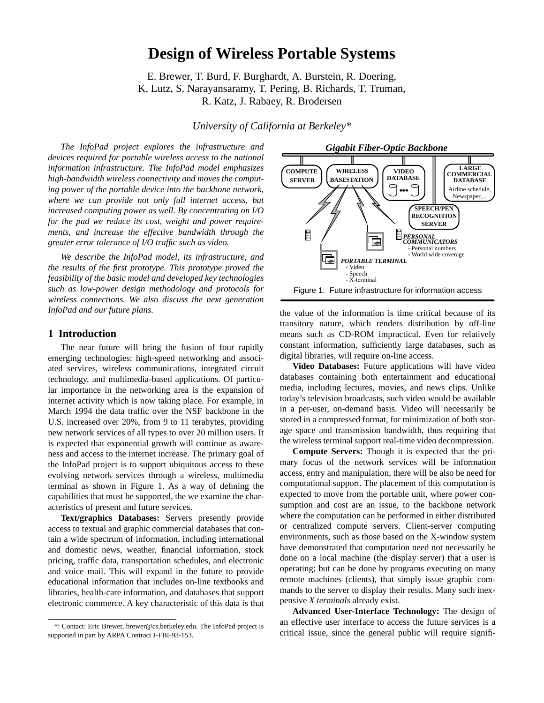# **Design of Wireless Portable Systems**

E. Brewer, T. Burd, F. Burghardt, A. Burstein, R. Doering, K. Lutz, S. Narayansaramy, T. Pering, B. Richards, T. Truman, R. Katz, J. Rabaey, R. Brodersen

*University of California at Berkeley\**

*The InfoPad project explores the infrastructure and devices required for portable wireless access to the national information infrastructure. The InfoPad model emphasizes high-bandwidth wireless connectivity and moves the computing power of the portable device into the backbone network, where we can provide not only full internet access, but increased computing power as well. By concentrating on I/O for the pad we reduce its cost, weight and power requirements, and increase the effective bandwidth through the greater error tolerance of I/O traffic such as video.*

*We describe the InfoPad model, its infrastructure, and the results of the first prototype. This prototype proved the feasibility of the basic model and developed key technologies such as low-power design methodology and protocols for wireless connections. We also discuss the next generation InfoPad and our future plans.*

## **1 Introduction**

The near future will bring the fusion of four rapidly emerging technologies: high-speed networking and associated services, wireless communications, integrated circuit technology, and multimedia-based applications. Of particular importance in the networking area is the expansion of internet activity which is now taking place. For example, in March 1994 the data traffic over the NSF backbone in the U.S. increased over 20%, from 9 to 11 terabytes, providing new network services of all types to over 20 million users. It is expected that exponential growth will continue as awareness and access to the internet increase. The primary goal of the InfoPad project is to support ubiquitous access to these evolving network services through a wireless, multimedia terminal as shown in Figure 1. As a way of defining the capabilities that must be supported, the we examine the characteristics of present and future services.

**Text/graphics Databases:** Servers presently provide access to textual and graphic commercial databases that contain a wide spectrum of information, including international and domestic news, weather, financial information, stock pricing, traffic data, transportation schedules, and electronic and voice mail. This will expand in the future to provide educational information that includes on-line textbooks and libraries, health-care information, and databases that support electronic commerce. A key characteristic of this data is that



the value of the information is time critical because of its transitory nature, which renders distribution by off-line means such as CD-ROM impractical. Even for relatively constant information, sufficiently large databases, such as digital libraries, will require on-line access.

**Video Databases:** Future applications will have video databases containing both entertainment and educational media, including lectures, movies, and news clips. Unlike today's television broadcasts, such video would be available in a per-user, on-demand basis. Video will necessarily be stored in a compressed format, for minimization of both storage space and transmission bandwidth, thus requiring that the wireless terminal support real-time video decompression.

**Compute Servers:** Though it is expected that the primary focus of the network services will be information access, entry and manipulation, there will be also be need for computational support. The placement of this computation is expected to move from the portable unit, where power consumption and cost are an issue, to the backbone network where the computation can be performed in either distributed or centralized compute servers. Client-server computing environments, such as those based on the X-window system have demonstrated that computation need not necessarily be done on a local machine (the display server) that a user is operating; but can be done by programs executing on many remote machines (clients), that simply issue graphic commands to the server to display their results. Many such inexpensive *X terminals* already exist.

**Advanced User-Interface Technology:** The design of an effective user interface to access the future services is a critical issue, since the general public will require signifi-

<sup>\*:</sup> Contact: Eric Brewer, brewer@cs.berkeley.edu. The InfoPad project is supported in part by ARPA Contract J-FBI-93-153.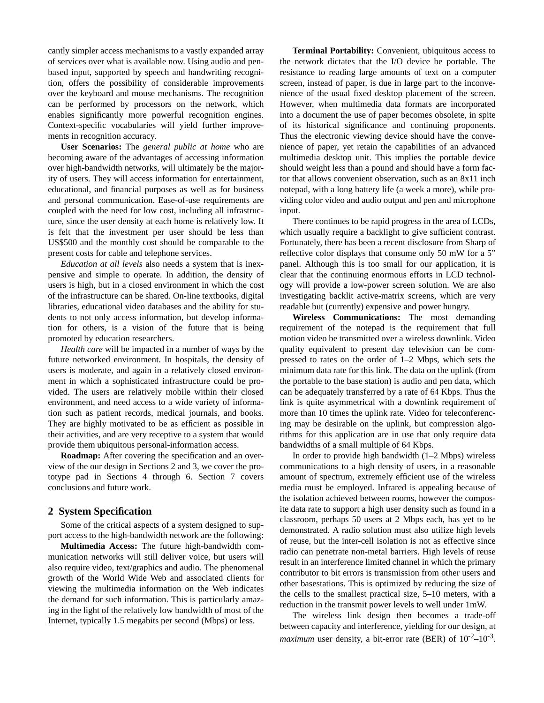cantly simpler access mechanisms to a vastly expanded array of services over what is available now. Using audio and penbased input, supported by speech and handwriting recognition, offers the possibility of considerable improvements over the keyboard and mouse mechanisms. The recognition can be performed by processors on the network, which enables significantly more powerful recognition engines. Context-specific vocabularies will yield further improvements in recognition accuracy.

**User Scenarios:** The *general public at home* who are becoming aware of the advantages of accessing information over high-bandwidth networks, will ultimately be the majority of users. They will access information for entertainment, educational, and financial purposes as well as for business and personal communication. Ease-of-use requirements are coupled with the need for low cost, including all infrastructure, since the user density at each home is relatively low. It is felt that the investment per user should be less than US\$500 and the monthly cost should be comparable to the present costs for cable and telephone services.

*Education at all levels* also needs a system that is inexpensive and simple to operate. In addition, the density of users is high, but in a closed environment in which the cost of the infrastructure can be shared. On-line textbooks, digital libraries, educational video databases and the ability for students to not only access information, but develop information for others, is a vision of the future that is being promoted by education researchers.

*Health care* will be impacted in a number of ways by the future networked environment. In hospitals, the density of users is moderate, and again in a relatively closed environment in which a sophisticated infrastructure could be provided. The users are relatively mobile within their closed environment, and need access to a wide variety of information such as patient records, medical journals, and books. They are highly motivated to be as efficient as possible in their activities, and are very receptive to a system that would provide them ubiquitous personal-information access.

**Roadmap:** After covering the specification and an overview of the our design in Sections 2 and 3, we cover the prototype pad in Sections 4 through 6. Section 7 covers conclusions and future work.

## **2 System Specification**

Some of the critical aspects of a system designed to support access to the high-bandwidth network are the following:

**Multimedia Access:** The future high-bandwidth communication networks will still deliver voice, but users will also require video, text/graphics and audio. The phenomenal growth of the World Wide Web and associated clients for viewing the multimedia information on the Web indicates the demand for such information. This is particularly amazing in the light of the relatively low bandwidth of most of the Internet, typically 1.5 megabits per second (Mbps) or less.

**Terminal Portability:** Convenient, ubiquitous access to the network dictates that the I/O device be portable. The resistance to reading large amounts of text on a computer screen, instead of paper, is due in large part to the inconvenience of the usual fixed desktop placement of the screen. However, when multimedia data formats are incorporated into a document the use of paper becomes obsolete, in spite of its historical significance and continuing proponents. Thus the electronic viewing device should have the convenience of paper, yet retain the capabilities of an advanced multimedia desktop unit. This implies the portable device should weight less than a pound and should have a form factor that allows convenient observation, such as an 8x11 inch notepad, with a long battery life (a week a more), while providing color video and audio output and pen and microphone input.

There continues to be rapid progress in the area of LCDs, which usually require a backlight to give sufficient contrast. Fortunately, there has been a recent disclosure from Sharp of reflective color displays that consume only 50 mW for a 5" panel. Although this is too small for our application, it is clear that the continuing enormous efforts in LCD technology will provide a low-power screen solution. We are also investigating backlit active-matrix screens, which are very readable but (currently) expensive and power hungry.

**Wireless Communications:** The most demanding requirement of the notepad is the requirement that full motion video be transmitted over a wireless downlink. Video quality equivalent to present day television can be compressed to rates on the order of 1–2 Mbps, which sets the minimum data rate for this link. The data on the uplink (from the portable to the base station) is audio and pen data, which can be adequately transferred by a rate of 64 Kbps. Thus the link is quite asymmetrical with a downlink requirement of more than 10 times the uplink rate. Video for teleconferencing may be desirable on the uplink, but compression algorithms for this application are in use that only require data bandwidths of a small multiple of 64 Kbps.

In order to provide high bandwidth  $(1-2$  Mbps) wireless communications to a high density of users, in a reasonable amount of spectrum, extremely efficient use of the wireless media must be employed. Infrared is appealing because of the isolation achieved between rooms, however the composite data rate to support a high user density such as found in a classroom, perhaps 50 users at 2 Mbps each, has yet to be demonstrated. A radio solution must also utilize high levels of reuse, but the inter-cell isolation is not as effective since radio can penetrate non-metal barriers. High levels of reuse result in an interference limited channel in which the primary contributor to bit errors is transmission from other users and other basestations. This is optimized by reducing the size of the cells to the smallest practical size, 5–10 meters, with a reduction in the transmit power levels to well under 1mW.

The wireless link design then becomes a trade-off between capacity and interference, yielding for our design, at *maximum* user density, a bit-error rate (BER) of  $10^{-2}$ – $10^{-3}$ .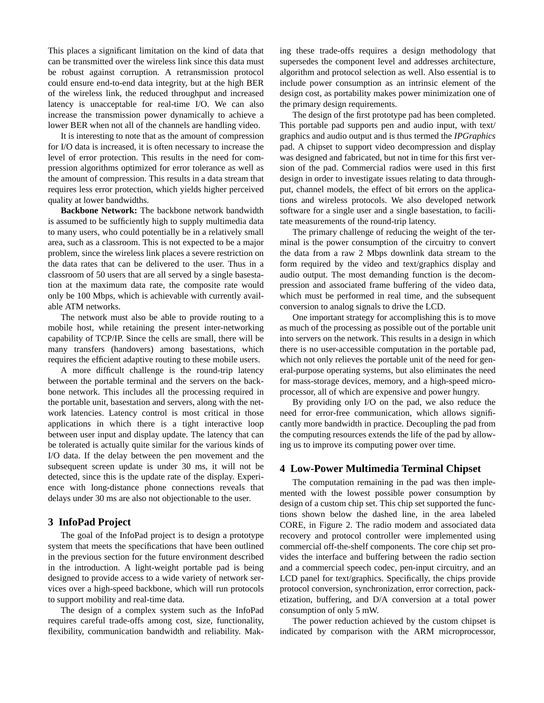This places a significant limitation on the kind of data that can be transmitted over the wireless link since this data must be robust against corruption. A retransmission protocol could ensure end-to-end data integrity, but at the high BER of the wireless link, the reduced throughput and increased latency is unacceptable for real-time I/O. We can also increase the transmission power dynamically to achieve a lower BER when not all of the channels are handling video.

It is interesting to note that as the amount of compression for I/O data is increased, it is often necessary to increase the level of error protection. This results in the need for compression algorithms optimized for error tolerance as well as the amount of compression. This results in a data stream that requires less error protection, which yields higher perceived quality at lower bandwidths.

**Backbone Network:** The backbone network bandwidth is assumed to be sufficiently high to supply multimedia data to many users, who could potentially be in a relatively small area, such as a classroom. This is not expected to be a major problem, since the wireless link places a severe restriction on the data rates that can be delivered to the user. Thus in a classroom of 50 users that are all served by a single basestation at the maximum data rate, the composite rate would only be 100 Mbps, which is achievable with currently available ATM networks.

The network must also be able to provide routing to a mobile host, while retaining the present inter-networking capability of TCP/IP. Since the cells are small, there will be many transfers (handovers) among basestations, which requires the efficient adaptive routing to these mobile users.

A more difficult challenge is the round-trip latency between the portable terminal and the servers on the backbone network. This includes all the processing required in the portable unit, basestation and servers, along with the network latencies. Latency control is most critical in those applications in which there is a tight interactive loop between user input and display update. The latency that can be tolerated is actually quite similar for the various kinds of I/O data. If the delay between the pen movement and the subsequent screen update is under 30 ms, it will not be detected, since this is the update rate of the display. Experience with long-distance phone connections reveals that delays under 30 ms are also not objectionable to the user.

## **3 InfoPad Project**

The goal of the InfoPad project is to design a prototype system that meets the specifications that have been outlined in the previous section for the future environment described in the introduction. A light-weight portable pad is being designed to provide access to a wide variety of network services over a high-speed backbone, which will run protocols to support mobility and real-time data.

The design of a complex system such as the InfoPad requires careful trade-offs among cost, size, functionality, flexibility, communication bandwidth and reliability. Making these trade-offs requires a design methodology that supersedes the component level and addresses architecture, algorithm and protocol selection as well. Also essential is to include power consumption as an intrinsic element of the design cost, as portability makes power minimization one of the primary design requirements.

The design of the first prototype pad has been completed. This portable pad supports pen and audio input, with text/ graphics and audio output and is thus termed the *IPGraphics* pad. A chipset to support video decompression and display was designed and fabricated, but not in time for this first version of the pad. Commercial radios were used in this first design in order to investigate issues relating to data throughput, channel models, the effect of bit errors on the applications and wireless protocols. We also developed network software for a single user and a single basestation, to facilitate measurements of the round-trip latency.

The primary challenge of reducing the weight of the terminal is the power consumption of the circuitry to convert the data from a raw 2 Mbps downlink data stream to the form required by the video and text/graphics display and audio output. The most demanding function is the decompression and associated frame buffering of the video data, which must be performed in real time, and the subsequent conversion to analog signals to drive the LCD.

One important strategy for accomplishing this is to move as much of the processing as possible out of the portable unit into servers on the network. This results in a design in which there is no user-accessible computation in the portable pad, which not only relieves the portable unit of the need for general-purpose operating systems, but also eliminates the need for mass-storage devices, memory, and a high-speed microprocessor, all of which are expensive and power hungry.

By providing only I/O on the pad, we also reduce the need for error-free communication, which allows significantly more bandwidth in practice. Decoupling the pad from the computing resources extends the life of the pad by allowing us to improve its computing power over time.

# **4 Low-Power Multimedia Terminal Chipset**

The computation remaining in the pad was then implemented with the lowest possible power consumption by design of a custom chip set. This chip set supported the functions shown below the dashed line, in the area labeled CORE, in Figure 2. The radio modem and associated data recovery and protocol controller were implemented using commercial off-the-shelf components. The core chip set provides the interface and buffering between the radio section and a commercial speech codec, pen-input circuitry, and an LCD panel for text/graphics. Specifically, the chips provide protocol conversion, synchronization, error correction, packetization, buffering, and D/A conversion at a total power consumption of only 5 mW.

The power reduction achieved by the custom chipset is indicated by comparison with the ARM microprocessor,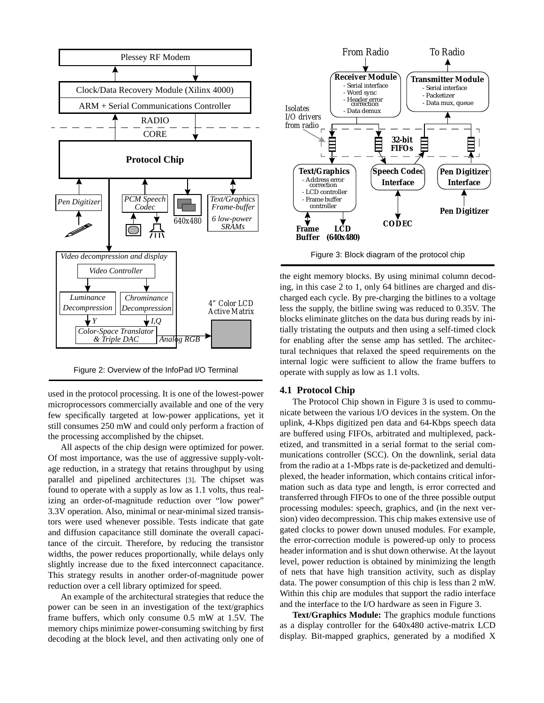

Figure 2: Overview of the InfoPad I/O Terminal

used in the protocol processing. It is one of the lowest-power microprocessors commercially available and one of the very few specifically targeted at low-power applications, yet it still consumes 250 mW and could only perform a fraction of the processing accomplished by the chipset.

All aspects of the chip design were optimized for power. Of most importance, was the use of aggressive supply-voltage reduction, in a strategy that retains throughput by using parallel and pipelined architectures [3]. The chipset was found to operate with a supply as low as 1.1 volts, thus realizing an order-of-magnitude reduction over "low power" 3.3V operation. Also, minimal or near-minimal sized transistors were used whenever possible. Tests indicate that gate and diffusion capacitance still dominate the overall capacitance of the circuit. Therefore, by reducing the transistor widths, the power reduces proportionally, while delays only slightly increase due to the fixed interconnect capacitance. This strategy results in another order-of-magnitude power reduction over a cell library optimized for speed.

An example of the architectural strategies that reduce the power can be seen in an investigation of the text/graphics frame buffers, which only consume 0.5 mW at 1.5V. The memory chips minimize power-consuming switching by first decoding at the block level, and then activating only one of



Figure 3: Block diagram of the protocol chip

the eight memory blocks. By using minimal column decoding, in this case 2 to 1, only 64 bitlines are charged and discharged each cycle. By pre-charging the bitlines to a voltage less the supply, the bitline swing was reduced to 0.35V. The blocks eliminate glitches on the data bus during reads by initially tristating the outputs and then using a self-timed clock for enabling after the sense amp has settled. The architectural techniques that relaxed the speed requirements on the internal logic were sufficient to allow the frame buffers to operate with supply as low as 1.1 volts.

## **4.1 Protocol Chip**

The Protocol Chip shown in Figure 3 is used to communicate between the various I/O devices in the system. On the uplink, 4-Kbps digitized pen data and 64-Kbps speech data are buffered using FIFOs, arbitrated and multiplexed, packetized, and transmitted in a serial format to the serial communications controller (SCC). On the downlink, serial data from the radio at a 1-Mbps rate is de-packetized and demultiplexed, the header information, which contains critical information such as data type and length, is error corrected and transferred through FIFOs to one of the three possible output processing modules: speech, graphics, and (in the next version) video decompression. This chip makes extensive use of gated clocks to power down unused modules. For example, the error-correction module is powered-up only to process header information and is shut down otherwise. At the layout level, power reduction is obtained by minimizing the length of nets that have high transition activity, such as display data. The power consumption of this chip is less than 2 mW. Within this chip are modules that support the radio interface and the interface to the I/O hardware as seen in Figure 3.

**Text/Graphics Module:** The graphics module functions as a display controller for the 640x480 active-matrix LCD display. Bit-mapped graphics, generated by a modified X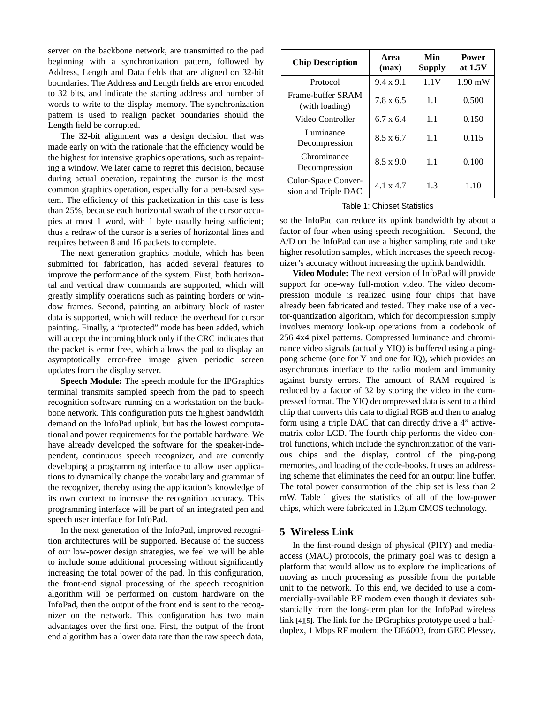server on the backbone network, are transmitted to the pad beginning with a synchronization pattern, followed by Address, Length and Data fields that are aligned on 32-bit boundaries. The Address and Length fields are error encoded to 32 bits, and indicate the starting address and number of words to write to the display memory. The synchronization pattern is used to realign packet boundaries should the Length field be corrupted.

The 32-bit alignment was a design decision that was made early on with the rationale that the efficiency would be the highest for intensive graphics operations, such as repainting a window. We later came to regret this decision, because during actual operation, repainting the cursor is the most common graphics operation, especially for a pen-based system. The efficiency of this packetization in this case is less than 25%, because each horizontal swath of the cursor occupies at most 1 word, with 1 byte usually being sufficient; thus a redraw of the cursor is a series of horizontal lines and requires between 8 and 16 packets to complete.

The next generation graphics module, which has been submitted for fabrication, has added several features to improve the performance of the system. First, both horizontal and vertical draw commands are supported, which will greatly simplify operations such as painting borders or window frames. Second, painting an arbitrary block of raster data is supported, which will reduce the overhead for cursor painting. Finally, a "protected" mode has been added, which will accept the incoming block only if the CRC indicates that the packet is error free, which allows the pad to display an asymptotically error-free image given periodic screen updates from the display server.

**Speech Module:** The speech module for the IPGraphics terminal transmits sampled speech from the pad to speech recognition software running on a workstation on the backbone network. This configuration puts the highest bandwidth demand on the InfoPad uplink, but has the lowest computational and power requirements for the portable hardware. We have already developed the software for the speaker-independent, continuous speech recognizer, and are currently developing a programming interface to allow user applications to dynamically change the vocabulary and grammar of the recognizer, thereby using the application's knowledge of its own context to increase the recognition accuracy. This programming interface will be part of an integrated pen and speech user interface for InfoPad.

In the next generation of the InfoPad, improved recognition architectures will be supported. Because of the success of our low-power design strategies, we feel we will be able to include some additional processing without significantly increasing the total power of the pad. In this configuration, the front-end signal processing of the speech recognition algorithm will be performed on custom hardware on the InfoPad, then the output of the front end is sent to the recognizer on the network. This configuration has two main advantages over the first one. First, the output of the front end algorithm has a lower data rate than the raw speech data,

| <b>Chip Description</b>                    | Area<br>(max)    | Min<br><b>Supply</b> | <b>Power</b><br>at 1.5V |
|--------------------------------------------|------------------|----------------------|-------------------------|
| Protocol                                   | $9.4 \times 9.1$ | 1.1V                 | $1.90 \text{ mW}$       |
| Frame-buffer SRAM<br>(with loading)        | 7.8 x 6.5        | 1.1                  | 0.500                   |
| Video Controller                           | $6.7 \times 6.4$ | 11                   | 0.150                   |
| Luminance<br>Decompression                 | $8.5 \times 6.7$ | 1.1                  | 0.115                   |
| Chrominance<br>Decompression               | $8.5 \times 9.0$ | 1.1                  | 0.100                   |
| Color-Space Conver-<br>sion and Triple DAC | $4.1 \times 4.7$ | 1.3                  | 1.10                    |

Table 1: Chipset Statistics

so the InfoPad can reduce its uplink bandwidth by about a factor of four when using speech recognition. Second, the A/D on the InfoPad can use a higher sampling rate and take higher resolution samples, which increases the speech recognizer's accuracy without increasing the uplink bandwidth.

**Video Module:** The next version of InfoPad will provide support for one-way full-motion video. The video decompression module is realized using four chips that have already been fabricated and tested. They make use of a vector-quantization algorithm, which for decompression simply involves memory look-up operations from a codebook of 256 4x4 pixel patterns. Compressed luminance and chrominance video signals (actually YIQ) is buffered using a pingpong scheme (one for Y and one for IQ), which provides an asynchronous interface to the radio modem and immunity against bursty errors. The amount of RAM required is reduced by a factor of 32 by storing the video in the compressed format. The YIQ decompressed data is sent to a third chip that converts this data to digital RGB and then to analog form using a triple DAC that can directly drive a 4" activematrix color LCD. The fourth chip performs the video control functions, which include the synchronization of the various chips and the display, control of the ping-pong memories, and loading of the code-books. It uses an addressing scheme that eliminates the need for an output line buffer. The total power consumption of the chip set is less than 2 mW. Table 1 gives the statistics of all of the low-power chips, which were fabricated in 1.2µm CMOS technology.

# **5 Wireless Link**

In the first-round design of physical (PHY) and mediaaccess (MAC) protocols, the primary goal was to design a platform that would allow us to explore the implications of moving as much processing as possible from the portable unit to the network. To this end, we decided to use a commercially-available RF modem even though it deviates substantially from the long-term plan for the InfoPad wireless link [4][5]. The link for the IPGraphics prototype used a halfduplex, 1 Mbps RF modem: the DE6003, from GEC Plessey.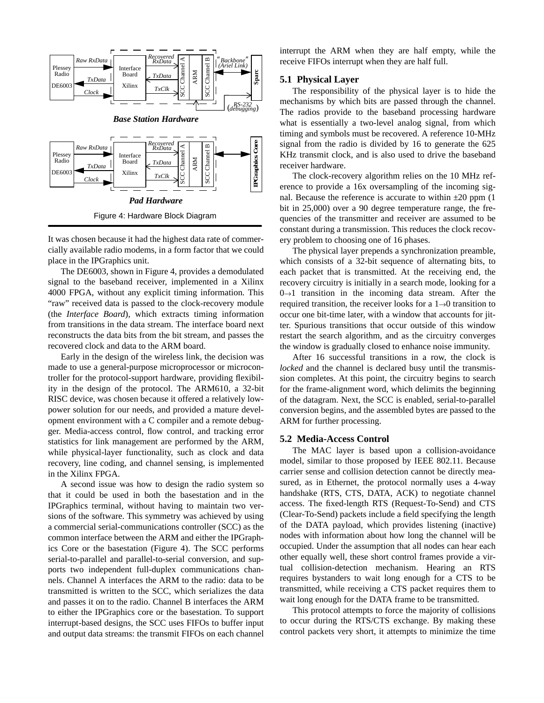

It was chosen because it had the highest data rate of commercially available radio modems, in a form factor that we could place in the IPGraphics unit.

The DE6003, shown in Figure 4, provides a demodulated signal to the baseband receiver, implemented in a Xilinx 4000 FPGA, without any explicit timing information. This "raw" received data is passed to the clock-recovery module (the *Interface Board*), which extracts timing information from transitions in the data stream. The interface board next reconstructs the data bits from the bit stream, and passes the recovered clock and data to the ARM board.

Early in the design of the wireless link, the decision was made to use a general-purpose microprocessor or microcontroller for the protocol-support hardware, providing flexibility in the design of the protocol. The ARM610, a 32-bit RISC device, was chosen because it offered a relatively lowpower solution for our needs, and provided a mature development environment with a C compiler and a remote debugger. Media-access control, flow control, and tracking error statistics for link management are performed by the ARM, while physical-layer functionality, such as clock and data recovery, line coding, and channel sensing, is implemented in the Xilinx FPGA.

A second issue was how to design the radio system so that it could be used in both the basestation and in the IPGraphics terminal, without having to maintain two versions of the software. This symmetry was achieved by using a commercial serial-communications controller (SCC) as the common interface between the ARM and either the IPGraphics Core or the basestation (Figure 4). The SCC performs serial-to-parallel and parallel-to-serial conversion, and supports two independent full-duplex communications channels. Channel A interfaces the ARM to the radio: data to be transmitted is written to the SCC, which serializes the data and passes it on to the radio. Channel B interfaces the ARM to either the IPGraphics core or the basestation. To support interrupt-based designs, the SCC uses FIFOs to buffer input and output data streams: the transmit FIFOs on each channel interrupt the ARM when they are half empty, while the receive FIFOs interrupt when they are half full.

#### **5.1 Physical Layer**

The responsibility of the physical layer is to hide the mechanisms by which bits are passed through the channel. The radios provide to the baseband processing hardware what is essentially a two-level analog signal, from which timing and symbols must be recovered. A reference 10-MHz signal from the radio is divided by 16 to generate the 625 KHz transmit clock, and is also used to drive the baseband receiver hardware.

The clock-recovery algorithm relies on the 10 MHz reference to provide a 16x oversampling of the incoming signal. Because the reference is accurate to within ±20 ppm (1 bit in 25,000) over a 90 degree temperature range, the frequencies of the transmitter and receiver are assumed to be constant during a transmission. This reduces the clock recovery problem to choosing one of 16 phases.

The physical layer prepends a synchronization preamble, which consists of a 32-bit sequence of alternating bits, to each packet that is transmitted. At the receiving end, the recovery circuitry is initially in a search mode, looking for a  $0 \rightarrow 1$  transition in the incoming data stream. After the required transition, the receiver looks for a 1→0 transition to occur one bit-time later, with a window that accounts for jitter. Spurious transitions that occur outside of this window restart the search algorithm, and as the circuitry converges the window is gradually closed to enhance noise immunity.

After 16 successful transitions in a row, the clock is *locked* and the channel is declared busy until the transmission completes. At this point, the circuitry begins to search for the frame-alignment word, which delimits the beginning of the datagram. Next, the SCC is enabled, serial-to-parallel conversion begins, and the assembled bytes are passed to the ARM for further processing.

### **5.2 Media-Access Control**

The MAC layer is based upon a collision-avoidance model, similar to those proposed by IEEE 802.11. Because carrier sense and collision detection cannot be directly measured, as in Ethernet, the protocol normally uses a 4-way handshake (RTS, CTS, DATA, ACK) to negotiate channel access. The fixed-length RTS (Request-To-Send) and CTS (Clear-To-Send) packets include a field specifying the length of the DATA payload, which provides listening (inactive) nodes with information about how long the channel will be occupied. Under the assumption that all nodes can hear each other equally well, these short control frames provide a virtual collision-detection mechanism. Hearing an RTS requires bystanders to wait long enough for a CTS to be transmitted, while receiving a CTS packet requires them to wait long enough for the DATA frame to be transmitted.

This protocol attempts to force the majority of collisions to occur during the RTS/CTS exchange. By making these control packets very short, it attempts to minimize the time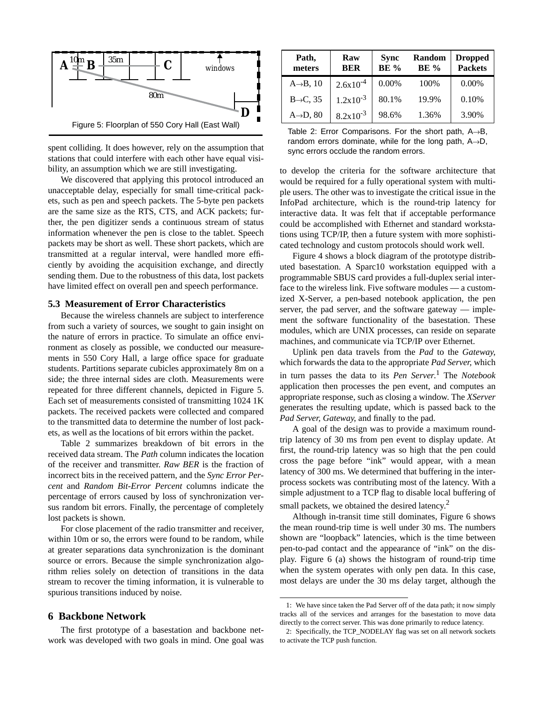

spent colliding. It does however, rely on the assumption that stations that could interfere with each other have equal visibility, an assumption which we are still investigating.

We discovered that applying this protocol introduced an unacceptable delay, especially for small time-critical packets, such as pen and speech packets. The 5-byte pen packets are the same size as the RTS, CTS, and ACK packets; further, the pen digitizer sends a continuous stream of status information whenever the pen is close to the tablet. Speech packets may be short as well. These short packets, which are transmitted at a regular interval, were handled more efficiently by avoiding the acquisition exchange, and directly sending them. Due to the robustness of this data, lost packets have limited effect on overall pen and speech performance.

#### **5.3 Measurement of Error Characteristics**

Because the wireless channels are subject to interference from such a variety of sources, we sought to gain insight on the nature of errors in practice. To simulate an office environment as closely as possible, we conducted our measurements in 550 Cory Hall, a large office space for graduate students. Partitions separate cubicles approximately 8m on a side; the three internal sides are cloth. Measurements were repeated for three different channels, depicted in Figure 5. Each set of measurements consisted of transmitting 1024 1K packets. The received packets were collected and compared to the transmitted data to determine the number of lost packets, as well as the locations of bit errors within the packet.

Table 2 summarizes breakdown of bit errors in the received data stream. The *Path* column indicates the location of the receiver and transmitter. *Raw BER* is the fraction of incorrect bits in the received pattern, and the *Sync Error Percent* and *Random Bit-Error Percent* columns indicate the percentage of errors caused by loss of synchronization versus random bit errors. Finally, the percentage of completely lost packets is shown.

For close placement of the radio transmitter and receiver, within 10m or so, the errors were found to be random, while at greater separations data synchronization is the dominant source or errors. Because the simple synchronization algorithm relies solely on detection of transitions in the data stream to recover the timing information, it is vulnerable to spurious transitions induced by noise.

#### **6 Backbone Network**

The first prototype of a basestation and backbone network was developed with two goals in mind. One goal was

| Path,<br>meters       | Raw<br><b>BER</b> | <b>Sync</b><br>$BE\%$ | Random<br><b>BE</b> % | <b>Dropped</b><br><b>Packets</b> |
|-----------------------|-------------------|-----------------------|-----------------------|----------------------------------|
| $A\rightarrow B$ , 10 | $2.6x10^{-4}$     | $0.00\%$              | 100%                  | $0.00\%$                         |
| $B\rightarrow C$ , 35 | $1.2x10^{-3}$     | 80.1%                 | 19.9%                 | 0.10%                            |
| $A\rightarrow D$ , 80 | $8.2x10^{-3}$     | 98.6%                 | 1.36%                 | 3.90%                            |

| Table 2: Error Comparisons. For the short path, $A\rightarrow B$ ,  |
|---------------------------------------------------------------------|
| random errors dominate, while for the long path, $A\rightarrow D$ , |
| sync errors occlude the random errors.                              |

to develop the criteria for the software architecture that would be required for a fully operational system with multiple users. The other was to investigate the critical issue in the InfoPad architecture, which is the round-trip latency for interactive data. It was felt that if acceptable performance could be accomplished with Ethernet and standard workstations using TCP/IP, then a future system with more sophisticated technology and custom protocols should work well.

Figure 4 shows a block diagram of the prototype distributed basestation. A Sparc10 workstation equipped with a programmable SBUS card provides a full-duplex serial interface to the wireless link. Five software modules — a customized X-Server, a pen-based notebook application, the pen server, the pad server, and the software gateway — implement the software functionality of the basestation. These modules, which are UNIX processes, can reside on separate machines, and communicate via TCP/IP over Ethernet.

Uplink pen data travels from the *Pad* to the *Gateway*, which forwards the data to the appropriate *Pad Server,* which in turn passes the data to its *Pen Server*. 1 The *Notebook* application then processes the pen event, and computes an appropriate response, such as closing a window. The *XServer* generates the resulting update, which is passed back to the *Pad Server, Gateway*, and finally to the pad.

A goal of the design was to provide a maximum roundtrip latency of 30 ms from pen event to display update. At first, the round-trip latency was so high that the pen could cross the page before "ink" would appear, with a mean latency of 300 ms. We determined that buffering in the interprocess sockets was contributing most of the latency. With a simple adjustment to a TCP flag to disable local buffering of small packets, we obtained the desired latency.<sup>2</sup>

Although in-transit time still dominates, Figure 6 shows the mean round-trip time is well under 30 ms. The numbers shown are "loopback" latencies, which is the time between pen-to-pad contact and the appearance of "ink" on the display. Figure 6 (a) shows the histogram of round-trip time when the system operates with only pen data. In this case, most delays are under the 30 ms delay target, although the

<sup>1:</sup> We have since taken the Pad Server off of the data path; it now simply tracks all of the services and arranges for the basestation to move data directly to the correct server. This was done primarily to reduce latency.

<sup>2:</sup> Specifically, the TCP\_NODELAY flag was set on all network sockets to activate the TCP push function.